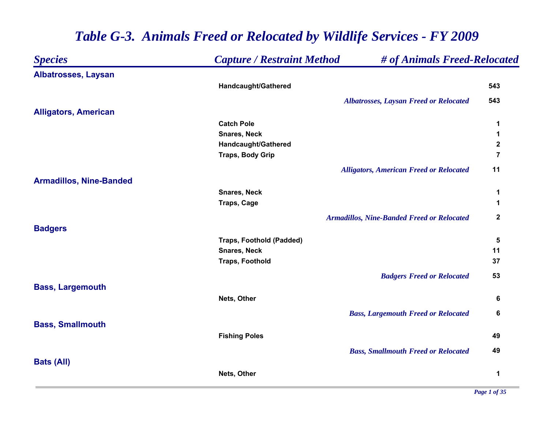| <b>Species</b>                 | <b>Capture / Restraint Method</b> | # of Animals Freed-Relocated                      |                |
|--------------------------------|-----------------------------------|---------------------------------------------------|----------------|
| <b>Albatrosses, Laysan</b>     |                                   |                                                   |                |
|                                | Handcaught/Gathered               |                                                   | 543            |
|                                |                                   | <b>Albatrosses, Laysan Freed or Relocated</b>     | 543            |
| <b>Alligators, American</b>    |                                   |                                                   |                |
|                                | <b>Catch Pole</b>                 |                                                   | 1              |
|                                | <b>Snares, Neck</b>               |                                                   | 1              |
|                                | Handcaught/Gathered               |                                                   | $\mathbf 2$    |
|                                | <b>Traps, Body Grip</b>           |                                                   | $\overline{7}$ |
|                                |                                   | <b>Alligators, American Freed or Relocated</b>    | 11             |
| <b>Armadillos, Nine-Banded</b> |                                   |                                                   |                |
|                                | <b>Snares, Neck</b>               |                                                   | 1              |
|                                | <b>Traps, Cage</b>                |                                                   | 1              |
|                                |                                   | <b>Armadillos, Nine-Banded Freed or Relocated</b> | $\mathbf 2$    |
| <b>Badgers</b>                 |                                   |                                                   |                |
|                                | <b>Traps, Foothold (Padded)</b>   |                                                   | 5              |
|                                | <b>Snares, Neck</b>               |                                                   | 11             |
|                                | <b>Traps, Foothold</b>            |                                                   | 37             |
|                                |                                   | <b>Badgers Freed or Relocated</b>                 | 53             |
| <b>Bass, Largemouth</b>        |                                   |                                                   |                |
|                                | Nets, Other                       |                                                   | 6              |
|                                |                                   | <b>Bass, Largemouth Freed or Relocated</b>        | 6              |
| <b>Bass, Smallmouth</b>        |                                   |                                                   |                |
|                                | <b>Fishing Poles</b>              |                                                   | 49             |
|                                |                                   | <b>Bass, Smallmouth Freed or Relocated</b>        | 49             |
| <b>Bats (All)</b>              |                                   |                                                   |                |
|                                | Nets, Other                       |                                                   | 1              |
|                                |                                   |                                                   |                |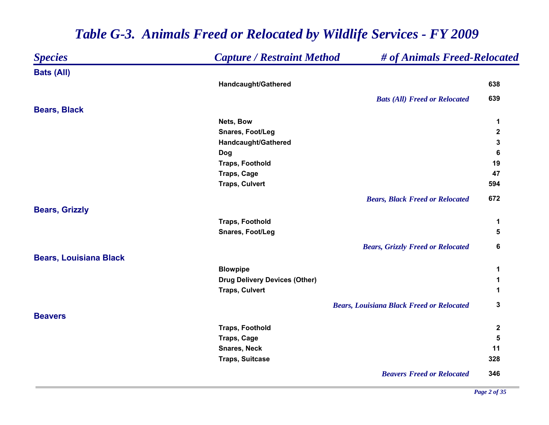| <b>Species</b>                | <b>Capture / Restraint Method</b>    | # of Animals Freed-Relocated                     |              |
|-------------------------------|--------------------------------------|--------------------------------------------------|--------------|
| <b>Bats (All)</b>             |                                      |                                                  |              |
|                               | Handcaught/Gathered                  |                                                  | 638          |
|                               |                                      | <b>Bats (All) Freed or Relocated</b>             | 639          |
| <b>Bears, Black</b>           |                                      |                                                  |              |
|                               | Nets, Bow                            |                                                  | 1            |
|                               | Snares, Foot/Leg                     |                                                  | $\mathbf 2$  |
|                               | Handcaught/Gathered                  |                                                  | 3            |
|                               | <b>Dog</b>                           |                                                  | 6            |
|                               | <b>Traps, Foothold</b>               |                                                  | 19           |
|                               | Traps, Cage                          |                                                  | 47           |
|                               | <b>Traps, Culvert</b>                |                                                  | 594          |
|                               |                                      | <b>Bears, Black Freed or Relocated</b>           | 672          |
| <b>Bears, Grizzly</b>         |                                      |                                                  |              |
|                               | <b>Traps, Foothold</b>               |                                                  | 1            |
|                               | Snares, Foot/Leg                     |                                                  | 5            |
|                               |                                      | <b>Bears, Grizzly Freed or Relocated</b>         | 6            |
| <b>Bears, Louisiana Black</b> |                                      |                                                  |              |
|                               | <b>Blowpipe</b>                      |                                                  | 1            |
|                               | <b>Drug Delivery Devices (Other)</b> |                                                  | 1            |
|                               | <b>Traps, Culvert</b>                |                                                  | 1            |
|                               |                                      | <b>Bears, Louisiana Black Freed or Relocated</b> | 3            |
| <b>Beavers</b>                |                                      |                                                  |              |
|                               | <b>Traps, Foothold</b>               |                                                  | $\mathbf{2}$ |
|                               | Traps, Cage                          |                                                  | 5            |
|                               | <b>Snares, Neck</b>                  |                                                  | 11           |
|                               | <b>Traps, Suitcase</b>               |                                                  | 328          |
|                               |                                      | <b>Beavers Freed or Relocated</b>                | 346          |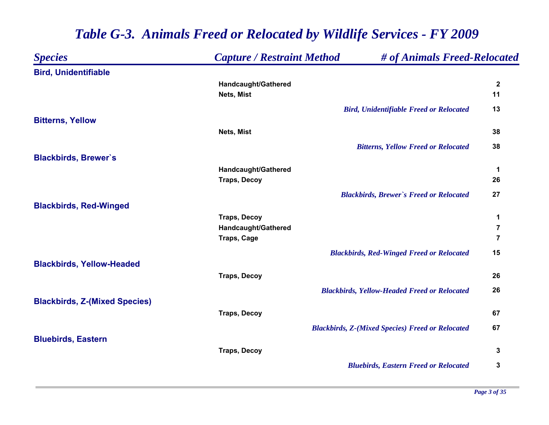#### *Species Capture / Restraint Method # of Animals Freed-Relocated* **Bird, Unidentifiable Handcaught/Gathered 2 Nets, Mist 11** *Bird, Unidentifiable Freed or Relocated* **13 Bitterns, Yellow Nets, Mist 38** *Bitterns, Yellow Freed or Relocated* **38 Blackbirds, Brewer`s Handcaught/Gathered 1 Traps, Decoy 26** *Blackbirds, Brewer`s Freed or Relocated* **27 Blackbirds, Red-Winged Traps, Decoy 1 Handcaught/Gathered 7 Traps, Cage 7** *Blackbirds, Red-Winged Freed or Relocated* **15 Blackbirds, Yellow-Headed Traps, Decoy 26** *Blackbirds, Yellow-Headed Freed or Relocated* **26 Blackbirds, Z-(Mixed Species) Traps, Decoy 67** *Blackbirds, Z-(Mixed Species) Freed or Relocated* **67 Bluebirds, Eastern Traps, Decoy 3** *Bluebirds, Eastern Freed or Relocated* **3**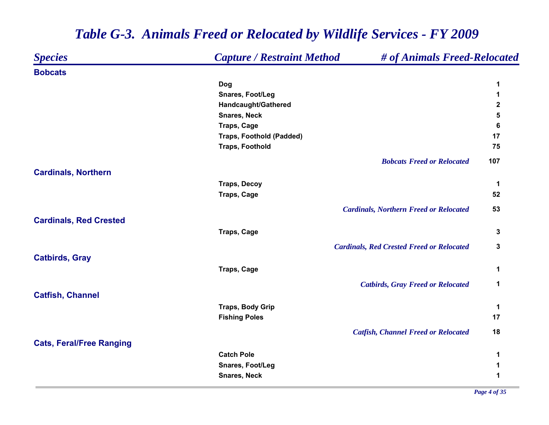| <b>Species</b>                  | <b>Capture / Restraint Method</b> | # of Animals Freed-Relocated                     |             |
|---------------------------------|-----------------------------------|--------------------------------------------------|-------------|
| <b>Bobcats</b>                  |                                   |                                                  |             |
|                                 | Dog                               |                                                  | 1           |
|                                 | Snares, Foot/Leg                  |                                                  | 1           |
|                                 | Handcaught/Gathered               |                                                  | $\mathbf 2$ |
|                                 | <b>Snares, Neck</b>               |                                                  | 5           |
|                                 | <b>Traps, Cage</b>                |                                                  | 6           |
|                                 | <b>Traps, Foothold (Padded)</b>   |                                                  | 17          |
|                                 | <b>Traps, Foothold</b>            |                                                  | 75          |
|                                 |                                   | <b>Bobcats Freed or Relocated</b>                | 107         |
| <b>Cardinals, Northern</b>      |                                   |                                                  |             |
|                                 | <b>Traps, Decoy</b>               |                                                  | 1           |
|                                 | <b>Traps, Cage</b>                |                                                  | 52          |
|                                 |                                   | <b>Cardinals, Northern Freed or Relocated</b>    | 53          |
| <b>Cardinals, Red Crested</b>   |                                   |                                                  |             |
|                                 | <b>Traps, Cage</b>                |                                                  | 3           |
|                                 |                                   | <b>Cardinals, Red Crested Freed or Relocated</b> | 3           |
| <b>Catbirds, Gray</b>           |                                   |                                                  |             |
|                                 | <b>Traps, Cage</b>                |                                                  | 1           |
|                                 |                                   | <b>Catbirds, Gray Freed or Relocated</b>         | 1           |
| <b>Catfish, Channel</b>         |                                   |                                                  |             |
|                                 | <b>Traps, Body Grip</b>           |                                                  | 1           |
|                                 | <b>Fishing Poles</b>              |                                                  | 17          |
|                                 |                                   | <b>Catfish, Channel Freed or Relocated</b>       | 18          |
| <b>Cats, Feral/Free Ranging</b> |                                   |                                                  |             |
|                                 | <b>Catch Pole</b>                 |                                                  | 1           |
|                                 | Snares, Foot/Leg                  |                                                  | 1           |
|                                 | <b>Snares, Neck</b>               |                                                  | 1           |
|                                 |                                   |                                                  |             |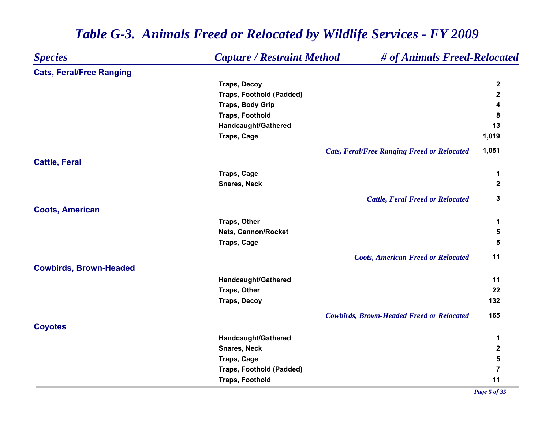#### *Species Capture / Restraint Method # of Animals Freed-Relocated* **Cats, Feral/Free Ranging Traps, Decoy 2 Traps, Foothold (Padded) 2 Traps, Body Grip 4 Traps, Foothold 8 Handcaught/Gathered 13 Traps, Cage 1,019** *Cats, Feral/Free Ranging Freed or Relocated* **1,051 Cattle, Feral Traps, Cage 1 Snares, Neck 2** *Cattle, Feral Freed or Relocated* **3 Coots, American Traps, Other 1 Nets, Cannon/Rocket 5 Traps, Cage 5** *Coots, American Freed or Relocated* **11 Cowbirds, Brown-Headed Handcaught/Gathered 11 Traps, Other 22 Traps, Decoy 132** *Cowbirds, Brown-Headed Freed or Relocated* **165 Coyotes Handcaught/Gathered 1 Snares, Neck 2 Traps, Cage 5 Traps, Foothold (Padded) 7 Traps, Foothold 11**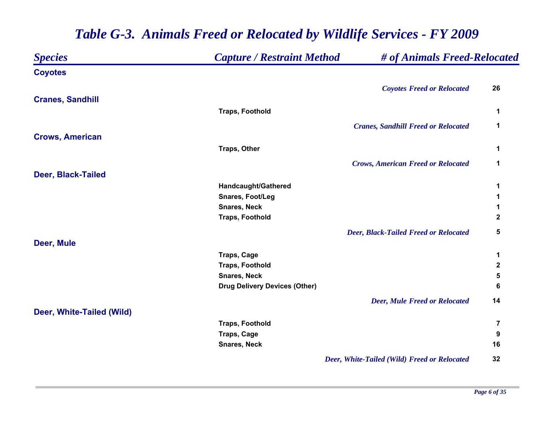| <b>Species</b>            | <b>Capture / Restraint Method</b>    | # of Animals Freed-Relocated                 |                |
|---------------------------|--------------------------------------|----------------------------------------------|----------------|
| <b>Coyotes</b>            |                                      |                                              |                |
|                           |                                      | <b>Coyotes Freed or Relocated</b>            | 26             |
| <b>Cranes, Sandhill</b>   |                                      |                                              |                |
|                           | <b>Traps, Foothold</b>               |                                              | 1              |
|                           |                                      | <b>Cranes, Sandhill Freed or Relocated</b>   | 1              |
| <b>Crows, American</b>    |                                      |                                              |                |
|                           | Traps, Other                         |                                              | 1              |
|                           |                                      | <b>Crows, American Freed or Relocated</b>    | $\mathbf 1$    |
| Deer, Black-Tailed        |                                      |                                              |                |
|                           | Handcaught/Gathered                  |                                              | 1              |
|                           | Snares, Foot/Leg                     |                                              | 1              |
|                           | <b>Snares, Neck</b>                  |                                              | 1              |
|                           | <b>Traps, Foothold</b>               |                                              | $\mathbf{2}$   |
|                           |                                      | <b>Deer, Black-Tailed Freed or Relocated</b> | 5              |
| Deer, Mule                |                                      |                                              |                |
|                           | <b>Traps, Cage</b>                   |                                              | 1              |
|                           | <b>Traps, Foothold</b>               |                                              | 2              |
|                           | <b>Snares, Neck</b>                  |                                              | 5              |
|                           | <b>Drug Delivery Devices (Other)</b> |                                              | 6              |
|                           |                                      | <b>Deer, Mule Freed or Relocated</b>         | 14             |
| Deer, White-Tailed (Wild) |                                      |                                              |                |
|                           | <b>Traps, Foothold</b>               |                                              | $\overline{7}$ |
|                           | Traps, Cage                          |                                              | 9              |
|                           | <b>Snares, Neck</b>                  |                                              | 16             |
|                           |                                      | Deer, White-Tailed (Wild) Freed or Relocated | 32             |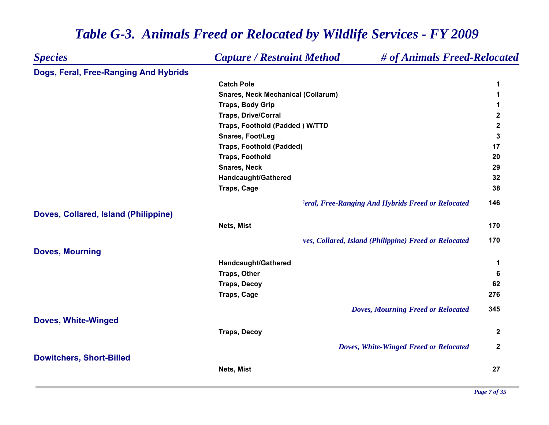| <b>Species</b>                        | <b>Capture / Restraint Method</b>         | # of Animals Freed-Relocated                              |              |
|---------------------------------------|-------------------------------------------|-----------------------------------------------------------|--------------|
| Dogs, Feral, Free-Ranging And Hybrids |                                           |                                                           |              |
|                                       | <b>Catch Pole</b>                         |                                                           | 1            |
|                                       | <b>Snares, Neck Mechanical (Collarum)</b> |                                                           | 1            |
|                                       | <b>Traps, Body Grip</b>                   |                                                           | 1            |
|                                       | <b>Traps, Drive/Corral</b>                |                                                           | $\mathbf{2}$ |
|                                       | Traps, Foothold (Padded) W/TTD            |                                                           | $\mathbf 2$  |
|                                       | Snares, Foot/Leg                          |                                                           | 3            |
|                                       | <b>Traps, Foothold (Padded)</b>           |                                                           | 17           |
|                                       | <b>Traps, Foothold</b>                    |                                                           | 20           |
|                                       | <b>Snares, Neck</b>                       |                                                           | 29           |
|                                       | Handcaught/Gathered                       |                                                           | 32           |
|                                       | <b>Traps, Cage</b>                        |                                                           | 38           |
|                                       |                                           | <b>Peral, Free-Ranging And Hybrids Freed or Relocated</b> | 146          |
| Doves, Collared, Island (Philippine)  |                                           |                                                           |              |
|                                       | Nets, Mist                                |                                                           | 170          |
|                                       |                                           | ves, Collared, Island (Philippine) Freed or Relocated     | 170          |
| <b>Doves, Mourning</b>                |                                           |                                                           |              |
|                                       | Handcaught/Gathered                       |                                                           | 1            |
|                                       | <b>Traps, Other</b>                       |                                                           | 6            |
|                                       | <b>Traps, Decoy</b>                       |                                                           | 62           |
|                                       | <b>Traps, Cage</b>                        |                                                           | 276          |
|                                       |                                           | <b>Doves, Mourning Freed or Relocated</b>                 | 345          |
| <b>Doves, White-Winged</b>            |                                           |                                                           |              |
|                                       | <b>Traps, Decoy</b>                       |                                                           | $\mathbf{2}$ |
|                                       |                                           | Doves, White-Winged Freed or Relocated                    | $\mathbf{2}$ |
| <b>Dowitchers, Short-Billed</b>       |                                           |                                                           |              |
|                                       | Nets, Mist                                |                                                           | 27           |
|                                       |                                           |                                                           |              |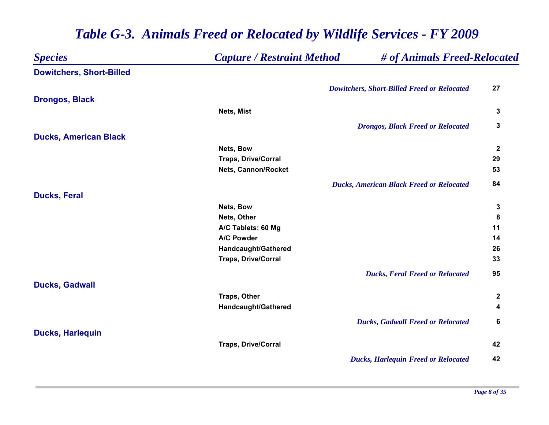| <b>Species</b>                  | <b>Capture / Restraint Method</b> | # of Animals Freed-Relocated                       |                  |
|---------------------------------|-----------------------------------|----------------------------------------------------|------------------|
| <b>Dowitchers, Short-Billed</b> |                                   |                                                    |                  |
|                                 |                                   | <b>Dowitchers, Short-Billed Freed or Relocated</b> | 27               |
| <b>Drongos, Black</b>           |                                   |                                                    |                  |
|                                 | Nets, Mist                        |                                                    | 3                |
|                                 |                                   | <b>Drongos, Black Freed or Relocated</b>           | 3                |
| <b>Ducks, American Black</b>    |                                   |                                                    |                  |
|                                 | Nets, Bow                         |                                                    | $\boldsymbol{2}$ |
|                                 | <b>Traps, Drive/Corral</b>        |                                                    | 29               |
|                                 | Nets, Cannon/Rocket               |                                                    | 53               |
|                                 |                                   | <b>Ducks, American Black Freed or Relocated</b>    | 84               |
| <b>Ducks, Feral</b>             |                                   |                                                    |                  |
|                                 | Nets, Bow                         |                                                    | 3                |
|                                 | Nets, Other                       |                                                    | 8                |
|                                 | A/C Tablets: 60 Mg                |                                                    | 11               |
|                                 | A/C Powder                        |                                                    | 14               |
|                                 | Handcaught/Gathered               |                                                    | 26               |
|                                 | <b>Traps, Drive/Corral</b>        |                                                    | 33               |
|                                 |                                   | <b>Ducks, Feral Freed or Relocated</b>             | 95               |
| <b>Ducks, Gadwall</b>           |                                   |                                                    |                  |
|                                 | Traps, Other                      |                                                    | $\mathbf{2}$     |
|                                 | Handcaught/Gathered               |                                                    | 4                |
|                                 |                                   | <b>Ducks, Gadwall Freed or Relocated</b>           | 6                |
| <b>Ducks, Harlequin</b>         |                                   |                                                    |                  |
|                                 | <b>Traps, Drive/Corral</b>        |                                                    | 42               |
|                                 |                                   | <b>Ducks, Harlequin Freed or Relocated</b>         | 42               |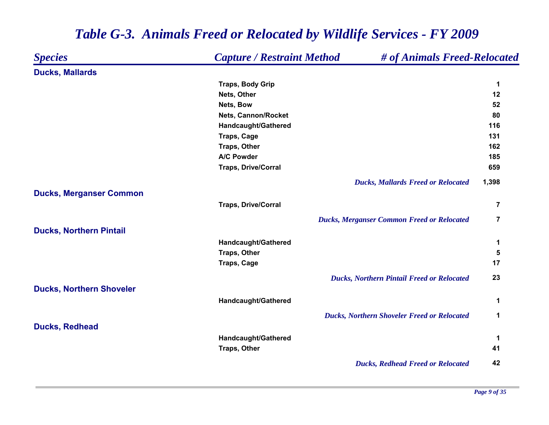| <b>Species</b>                  | <b>Capture / Restraint Method</b> | # of Animals Freed-Relocated                       |                |
|---------------------------------|-----------------------------------|----------------------------------------------------|----------------|
| <b>Ducks, Mallards</b>          |                                   |                                                    |                |
|                                 | <b>Traps, Body Grip</b>           |                                                    | 1              |
|                                 | Nets, Other                       |                                                    | 12             |
|                                 | Nets, Bow                         |                                                    | 52             |
|                                 | Nets, Cannon/Rocket               |                                                    | 80             |
|                                 | Handcaught/Gathered               |                                                    | 116            |
|                                 | Traps, Cage                       |                                                    | 131            |
|                                 | Traps, Other                      |                                                    | 162            |
|                                 | A/C Powder                        |                                                    | 185            |
|                                 | <b>Traps, Drive/Corral</b>        |                                                    | 659            |
|                                 |                                   | <b>Ducks, Mallards Freed or Relocated</b>          | 1,398          |
| <b>Ducks, Merganser Common</b>  |                                   |                                                    |                |
|                                 | <b>Traps, Drive/Corral</b>        |                                                    | 7              |
|                                 |                                   | <b>Ducks, Merganser Common Freed or Relocated</b>  | $\overline{7}$ |
| <b>Ducks, Northern Pintail</b>  |                                   |                                                    |                |
|                                 | Handcaught/Gathered               |                                                    | 1              |
|                                 | <b>Traps, Other</b>               |                                                    | 5              |
|                                 | <b>Traps, Cage</b>                |                                                    | 17             |
|                                 |                                   | <b>Ducks, Northern Pintail Freed or Relocated</b>  | 23             |
| <b>Ducks, Northern Shoveler</b> |                                   |                                                    |                |
|                                 | Handcaught/Gathered               |                                                    | $\mathbf 1$    |
|                                 |                                   | <b>Ducks, Northern Shoveler Freed or Relocated</b> | $\mathbf 1$    |
| <b>Ducks, Redhead</b>           |                                   |                                                    |                |
|                                 | Handcaught/Gathered               |                                                    | 1              |
|                                 | <b>Traps, Other</b>               |                                                    | 41             |
|                                 |                                   | <b>Ducks, Redhead Freed or Relocated</b>           | 42             |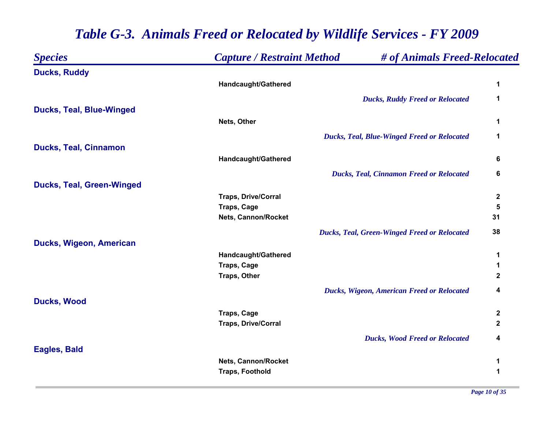| <b>Species</b>                   | <b>Capture / Restraint Method</b> | # of Animals Freed-Relocated                        |             |
|----------------------------------|-----------------------------------|-----------------------------------------------------|-------------|
| <b>Ducks, Ruddy</b>              |                                   |                                                     |             |
|                                  | Handcaught/Gathered               |                                                     | 1           |
|                                  |                                   | <b>Ducks, Ruddy Freed or Relocated</b>              | 1           |
| <b>Ducks, Teal, Blue-Winged</b>  |                                   |                                                     |             |
|                                  | Nets, Other                       |                                                     | 1           |
|                                  |                                   | <b>Ducks, Teal, Blue-Winged Freed or Relocated</b>  | 1           |
| <b>Ducks, Teal, Cinnamon</b>     |                                   |                                                     |             |
|                                  | Handcaught/Gathered               |                                                     | 6           |
|                                  |                                   | <b>Ducks, Teal, Cinnamon Freed or Relocated</b>     | 6           |
| <b>Ducks, Teal, Green-Winged</b> |                                   |                                                     |             |
|                                  | <b>Traps, Drive/Corral</b>        |                                                     | $\mathbf 2$ |
|                                  | Traps, Cage                       |                                                     | 5           |
|                                  | <b>Nets, Cannon/Rocket</b>        |                                                     | 31          |
|                                  |                                   | <b>Ducks, Teal, Green-Winged Freed or Relocated</b> | 38          |
| Ducks, Wigeon, American          |                                   |                                                     |             |
|                                  | Handcaught/Gathered               |                                                     | 1           |
|                                  | <b>Traps, Cage</b>                |                                                     | 1           |
|                                  | Traps, Other                      |                                                     | $\mathbf 2$ |
|                                  |                                   | Ducks, Wigeon, American Freed or Relocated          | 4           |
| <b>Ducks, Wood</b>               |                                   |                                                     |             |
|                                  | <b>Traps, Cage</b>                |                                                     | 2           |
|                                  | <b>Traps, Drive/Corral</b>        |                                                     | $\mathbf 2$ |
|                                  |                                   | <b>Ducks, Wood Freed or Relocated</b>               | 4           |
| <b>Eagles, Bald</b>              |                                   |                                                     |             |
|                                  | <b>Nets, Cannon/Rocket</b>        |                                                     | 1           |
|                                  | <b>Traps, Foothold</b>            |                                                     | 1           |
|                                  |                                   |                                                     |             |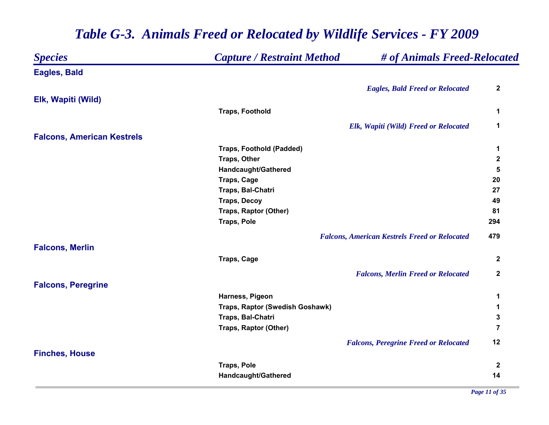| <b>Species</b>                    | <b>Capture / Restraint Method</b> | # of Animals Freed-Relocated                         |                |
|-----------------------------------|-----------------------------------|------------------------------------------------------|----------------|
| <b>Eagles, Bald</b>               |                                   |                                                      |                |
|                                   |                                   | <b>Eagles, Bald Freed or Relocated</b>               | $\mathbf 2$    |
| Elk, Wapiti (Wild)                |                                   |                                                      |                |
|                                   | <b>Traps, Foothold</b>            |                                                      | 1              |
|                                   |                                   | Elk, Wapiti (Wild) Freed or Relocated                | 1              |
| <b>Falcons, American Kestrels</b> |                                   |                                                      |                |
|                                   | <b>Traps, Foothold (Padded)</b>   |                                                      | 1              |
|                                   | Traps, Other                      |                                                      | $\mathbf 2$    |
|                                   | Handcaught/Gathered               |                                                      | 5              |
|                                   | <b>Traps, Cage</b>                |                                                      | 20             |
|                                   | Traps, Bal-Chatri                 |                                                      | 27             |
|                                   | <b>Traps, Decoy</b>               |                                                      | 49             |
|                                   | Traps, Raptor (Other)             |                                                      | 81             |
|                                   | <b>Traps, Pole</b>                |                                                      | 294            |
|                                   |                                   | <b>Falcons, American Kestrels Freed or Relocated</b> | 479            |
| <b>Falcons, Merlin</b>            |                                   |                                                      |                |
|                                   | <b>Traps, Cage</b>                |                                                      | $\mathbf 2$    |
|                                   |                                   | <b>Falcons, Merlin Freed or Relocated</b>            | $\mathbf{2}$   |
| <b>Falcons, Peregrine</b>         |                                   |                                                      |                |
|                                   | Harness, Pigeon                   |                                                      | 1              |
|                                   | Traps, Raptor (Swedish Goshawk)   |                                                      | 1              |
|                                   | Traps, Bal-Chatri                 |                                                      | 3              |
|                                   | Traps, Raptor (Other)             |                                                      | $\overline{7}$ |
|                                   |                                   | <b>Falcons, Peregrine Freed or Relocated</b>         | 12             |
| <b>Finches, House</b>             |                                   |                                                      |                |
|                                   | <b>Traps, Pole</b>                |                                                      | $\mathbf{2}$   |
|                                   | Handcaught/Gathered               |                                                      | 14             |
|                                   |                                   |                                                      |                |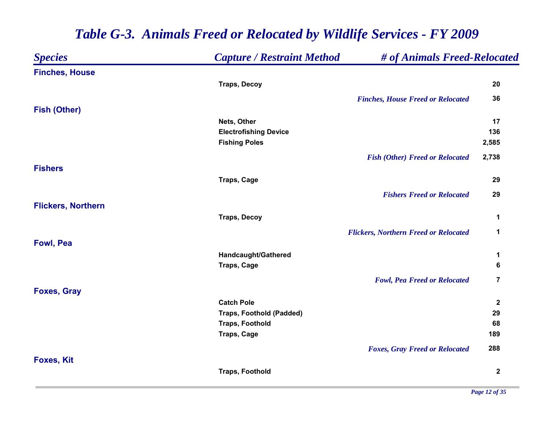#### *Species Capture / Restraint Method # of Animals Freed-Relocated* **Finches, House Traps, Decoy 20** *Finches, House Freed or Relocated* **36 Fish (Other) Nets, Other 17 Electrofishing Device 136 Fishing Poles 2,585** *Fish (Other) Freed or Relocated* **2,738 FishersTraps, Cage 29** *Fishers Freed or Relocated* **29 Flickers, Northern Traps, Decoy 1** *Flickers, Northern Freed or Relocated* **1 Fowl, Pea Handcaught/Gathered 1 Traps, Cage 6** *Fowl, Pea Freed or Relocated* **7 Foxes, Gray Catch Pole 2 Traps, Foothold (Padded) 29 Traps, Foothold 68 Traps, Cage 189** *Foxes, Gray Freed or Relocated* **288 Foxes, Kit Traps, Foothold 2**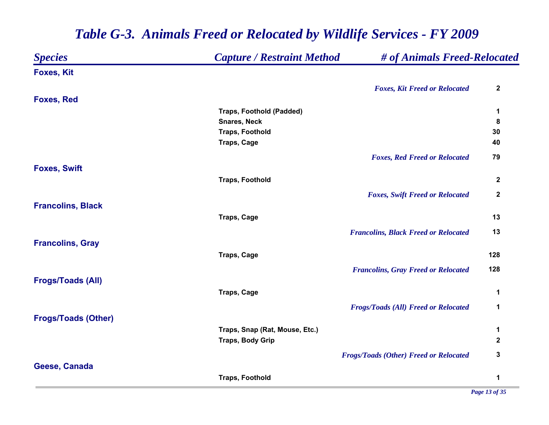| <b>Species</b>             | <b>Capture / Restraint Method</b> | # of Animals Freed-Relocated                  |                  |
|----------------------------|-----------------------------------|-----------------------------------------------|------------------|
| <b>Foxes, Kit</b>          |                                   |                                               |                  |
|                            |                                   | <b>Foxes, Kit Freed or Relocated</b>          | $\mathbf{2}$     |
| <b>Foxes, Red</b>          |                                   |                                               |                  |
|                            | <b>Traps, Foothold (Padded)</b>   |                                               | 1                |
|                            | <b>Snares, Neck</b>               |                                               | $\bf 8$          |
|                            | <b>Traps, Foothold</b>            |                                               | 30               |
|                            | Traps, Cage                       |                                               | 40               |
|                            |                                   | <b>Foxes, Red Freed or Relocated</b>          | 79               |
| <b>Foxes, Swift</b>        |                                   |                                               |                  |
|                            | <b>Traps, Foothold</b>            |                                               | $\boldsymbol{2}$ |
|                            |                                   | <b>Foxes, Swift Freed or Relocated</b>        | $\mathbf 2$      |
| <b>Francolins, Black</b>   |                                   |                                               |                  |
|                            | <b>Traps, Cage</b>                |                                               | 13               |
|                            |                                   | <b>Francolins, Black Freed or Relocated</b>   | 13               |
| <b>Francolins, Gray</b>    |                                   |                                               |                  |
|                            | <b>Traps, Cage</b>                |                                               | 128              |
|                            |                                   | <b>Francolins, Gray Freed or Relocated</b>    | 128              |
| <b>Frogs/Toads (All)</b>   |                                   |                                               |                  |
|                            | <b>Traps, Cage</b>                |                                               | 1                |
|                            |                                   | <b>Frogs/Toads (All) Freed or Relocated</b>   | 1                |
| <b>Frogs/Toads (Other)</b> |                                   |                                               |                  |
|                            | Traps, Snap (Rat, Mouse, Etc.)    |                                               | 1                |
|                            | <b>Traps, Body Grip</b>           |                                               | $\mathbf 2$      |
|                            |                                   | <b>Frogs/Toads (Other) Freed or Relocated</b> | $\mathbf 3$      |
| Geese, Canada              |                                   |                                               |                  |
|                            | <b>Traps, Foothold</b>            |                                               | 1                |
|                            |                                   |                                               |                  |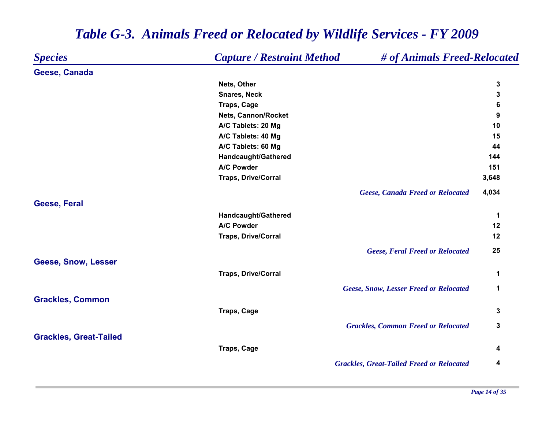| <b>Species</b>                | <b>Capture / Restraint Method</b> | # of Animals Freed-Relocated                     |       |
|-------------------------------|-----------------------------------|--------------------------------------------------|-------|
| Geese, Canada                 |                                   |                                                  |       |
|                               | Nets, Other                       |                                                  | 3     |
|                               | <b>Snares, Neck</b>               |                                                  | 3     |
|                               | <b>Traps, Cage</b>                |                                                  | 6     |
|                               | <b>Nets, Cannon/Rocket</b>        |                                                  | 9     |
|                               | A/C Tablets: 20 Mg                |                                                  | 10    |
|                               | A/C Tablets: 40 Mg                |                                                  | 15    |
|                               | A/C Tablets: 60 Mg                |                                                  | 44    |
|                               | Handcaught/Gathered               |                                                  | 144   |
|                               | A/C Powder                        |                                                  | 151   |
|                               | <b>Traps, Drive/Corral</b>        |                                                  | 3,648 |
|                               |                                   | <b>Geese, Canada Freed or Relocated</b>          | 4,034 |
| <b>Geese, Feral</b>           |                                   |                                                  |       |
|                               | Handcaught/Gathered               |                                                  | 1     |
|                               | A/C Powder                        |                                                  | 12    |
|                               | <b>Traps, Drive/Corral</b>        |                                                  | 12    |
|                               |                                   | <b>Geese, Feral Freed or Relocated</b>           | 25    |
| Geese, Snow, Lesser           |                                   |                                                  |       |
|                               | <b>Traps, Drive/Corral</b>        |                                                  | 1     |
|                               |                                   | <b>Geese, Snow, Lesser Freed or Relocated</b>    | 1     |
| <b>Grackles, Common</b>       |                                   |                                                  |       |
|                               | <b>Traps, Cage</b>                |                                                  | 3     |
|                               |                                   | <b>Grackles, Common Freed or Relocated</b>       | 3     |
| <b>Grackles, Great-Tailed</b> |                                   |                                                  |       |
|                               | <b>Traps, Cage</b>                |                                                  | 4     |
|                               |                                   | <b>Grackles, Great-Tailed Freed or Relocated</b> | 4     |
|                               |                                   |                                                  |       |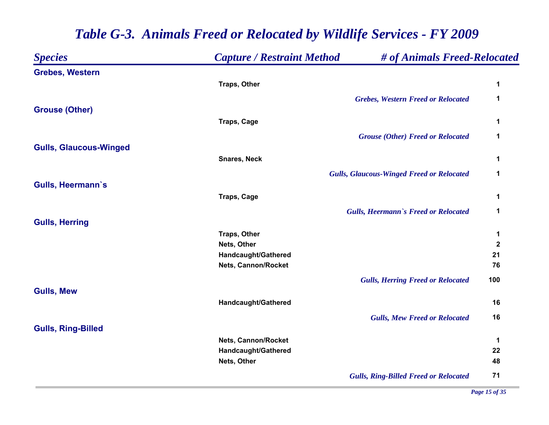| <b>Species</b>                | <b>Capture / Restraint Method</b> | # of Animals Freed-Relocated                     |                  |
|-------------------------------|-----------------------------------|--------------------------------------------------|------------------|
| <b>Grebes, Western</b>        |                                   |                                                  |                  |
|                               | Traps, Other                      |                                                  | 1                |
|                               |                                   | <b>Grebes, Western Freed or Relocated</b>        | $\mathbf{1}$     |
| <b>Grouse (Other)</b>         |                                   |                                                  |                  |
|                               | <b>Traps, Cage</b>                |                                                  | 1                |
|                               |                                   | <b>Grouse (Other) Freed or Relocated</b>         | $\mathbf 1$      |
| <b>Gulls, Glaucous-Winged</b> |                                   |                                                  |                  |
|                               | <b>Snares, Neck</b>               |                                                  | 1                |
|                               |                                   | <b>Gulls, Glaucous-Winged Freed or Relocated</b> | 1                |
| Gulls, Heermann's             |                                   |                                                  |                  |
|                               | <b>Traps, Cage</b>                |                                                  | 1                |
|                               |                                   | <b>Gulls, Heermann's Freed or Relocated</b>      | $\mathbf 1$      |
| <b>Gulls, Herring</b>         |                                   |                                                  |                  |
|                               | <b>Traps, Other</b>               |                                                  | 1                |
|                               | Nets, Other                       |                                                  | $\boldsymbol{2}$ |
|                               | Handcaught/Gathered               |                                                  | 21               |
|                               | Nets, Cannon/Rocket               |                                                  | 76               |
|                               |                                   | <b>Gulls, Herring Freed or Relocated</b>         | 100              |
| <b>Gulls, Mew</b>             |                                   |                                                  |                  |
|                               | Handcaught/Gathered               |                                                  | 16               |
|                               |                                   | <b>Gulls, Mew Freed or Relocated</b>             | 16               |
| <b>Gulls, Ring-Billed</b>     |                                   |                                                  |                  |
|                               | <b>Nets, Cannon/Rocket</b>        |                                                  | $\mathbf 1$      |
|                               | Handcaught/Gathered               |                                                  | 22               |
|                               | Nets, Other                       |                                                  | 48               |
|                               |                                   | <b>Gulls, Ring-Billed Freed or Relocated</b>     | 71               |

*Page 15 of 35*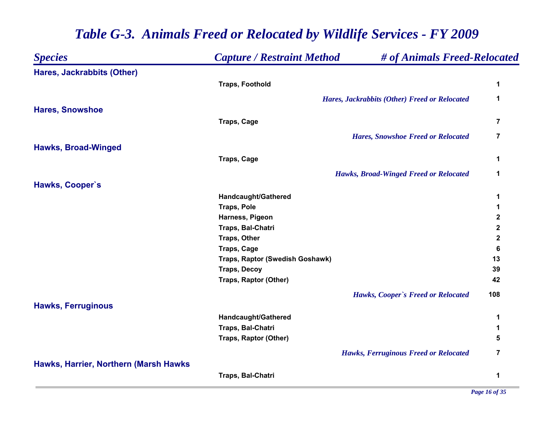| <b>Species</b>                        | <b>Capture / Restraint Method</b> | # of Animals Freed-Relocated                         |                |
|---------------------------------------|-----------------------------------|------------------------------------------------------|----------------|
| Hares, Jackrabbits (Other)            |                                   |                                                      |                |
|                                       | <b>Traps, Foothold</b>            |                                                      | 1              |
|                                       |                                   | <b>Hares, Jackrabbits (Other) Freed or Relocated</b> | 1              |
| <b>Hares, Snowshoe</b>                |                                   |                                                      |                |
|                                       | Traps, Cage                       |                                                      | 7              |
|                                       |                                   | <b>Hares, Snowshoe Freed or Relocated</b>            | $\overline{7}$ |
| <b>Hawks, Broad-Winged</b>            |                                   |                                                      |                |
|                                       | <b>Traps, Cage</b>                |                                                      | 1              |
|                                       |                                   | <b>Hawks, Broad-Winged Freed or Relocated</b>        | 1              |
| Hawks, Cooper's                       |                                   |                                                      |                |
|                                       | Handcaught/Gathered               |                                                      | 1              |
|                                       | <b>Traps, Pole</b>                |                                                      | 1              |
|                                       | Harness, Pigeon                   |                                                      | $\mathbf 2$    |
|                                       | Traps, Bal-Chatri                 |                                                      | $\mathbf 2$    |
|                                       | <b>Traps, Other</b>               |                                                      | $\mathbf 2$    |
|                                       | Traps, Cage                       |                                                      | 6              |
|                                       | Traps, Raptor (Swedish Goshawk)   |                                                      | 13             |
|                                       | <b>Traps, Decoy</b>               |                                                      | 39             |
|                                       | <b>Traps, Raptor (Other)</b>      |                                                      | 42             |
|                                       |                                   | Hawks, Cooper's Freed or Relocated                   | 108            |
| <b>Hawks, Ferruginous</b>             |                                   |                                                      |                |
|                                       | Handcaught/Gathered               |                                                      | 1              |
|                                       | Traps, Bal-Chatri                 |                                                      | 1              |
|                                       | Traps, Raptor (Other)             |                                                      | 5              |
|                                       |                                   | <b>Hawks, Ferruginous Freed or Relocated</b>         | 7              |
| Hawks, Harrier, Northern (Marsh Hawks |                                   |                                                      |                |
|                                       | Traps, Bal-Chatri                 |                                                      | 1              |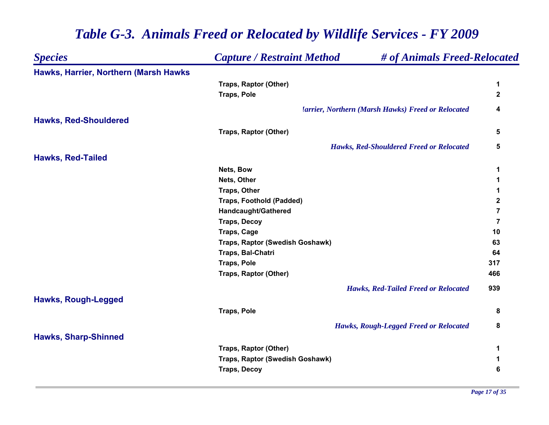#### *Species Capture / Restraint Method # of Animals Freed-Relocated* **Hawks, Harrier, Northern (Marsh Hawks Traps, Raptor (Other) 1 Traps, Pole 2** *Harrier, Northern (Marsh Hawks) Freed or Relocated* **4 Hawks, Red-Shouldered Traps, Raptor (Other) 5** *Hawks, Red-Shouldered Freed or Relocated* **5 Hawks, Red-Tailed Nets, Bow 1 Nets, Other 1 Traps, Other 1 Traps, Foothold (Padded) 2 Handcaught/Gathered 7 Traps, Decoy 7 Traps, Cage 10 Traps, Raptor (Swedish Goshawk) 63 Traps, Bal-Chatri 64 Traps, Pole 317 Traps, Raptor (Other) 466** *Hawks, Red-Tailed Freed or Relocated* **939 Hawks, Rough-Legged Traps, Pole 8** *Hawks, Rough-Legged Freed or Relocated* **8 Hawks, Sharp-Shinned Traps, Raptor (Other) 1 Traps, Raptor (Swedish Goshawk) 1 Traps, Decoy 6**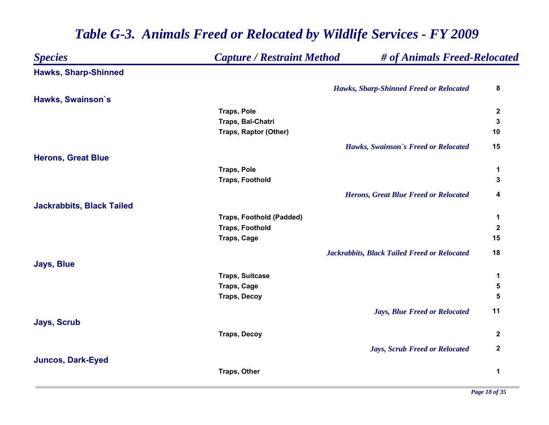| <b>Species</b>                   | <b>Capture / Restraint Method</b> | # of Animals Freed-Relocated                        |                  |
|----------------------------------|-----------------------------------|-----------------------------------------------------|------------------|
| <b>Hawks, Sharp-Shinned</b>      |                                   |                                                     |                  |
|                                  |                                   | <b>Hawks, Sharp-Shinned Freed or Relocated</b>      | 8                |
| Hawks, Swainson's                |                                   |                                                     |                  |
|                                  | <b>Traps, Pole</b>                |                                                     | $\mathbf 2$      |
|                                  | Traps, Bal-Chatri                 |                                                     | 3                |
|                                  | <b>Traps, Raptor (Other)</b>      |                                                     | 10               |
|                                  |                                   | Hawks, Swainson's Freed or Relocated                | 15               |
| <b>Herons, Great Blue</b>        |                                   |                                                     |                  |
|                                  | <b>Traps, Pole</b>                |                                                     | 1                |
|                                  | <b>Traps, Foothold</b>            |                                                     | 3                |
|                                  |                                   | <b>Herons, Great Blue Freed or Relocated</b>        | 4                |
| <b>Jackrabbits, Black Tailed</b> |                                   |                                                     |                  |
|                                  | <b>Traps, Foothold (Padded)</b>   |                                                     | $\mathbf 1$      |
|                                  | <b>Traps, Foothold</b>            |                                                     | $\mathbf 2$      |
|                                  | <b>Traps, Cage</b>                |                                                     | 15               |
|                                  |                                   | <b>Jackrabbits, Black Tailed Freed or Relocated</b> | 18               |
| <b>Jays, Blue</b>                |                                   |                                                     |                  |
|                                  | <b>Traps, Suitcase</b>            |                                                     | 1                |
|                                  | <b>Traps, Cage</b>                |                                                     | 5                |
|                                  | <b>Traps, Decoy</b>               |                                                     | 5                |
|                                  |                                   | <b>Jays, Blue Freed or Relocated</b>                | 11               |
| <b>Jays, Scrub</b>               |                                   |                                                     |                  |
|                                  | <b>Traps, Decoy</b>               |                                                     | $\boldsymbol{2}$ |
|                                  |                                   | <b>Jays, Scrub Freed or Relocated</b>               | $\mathbf 2$      |
| <b>Juncos, Dark-Eyed</b>         |                                   |                                                     |                  |
|                                  | Traps, Other                      |                                                     | 1                |
|                                  |                                   |                                                     |                  |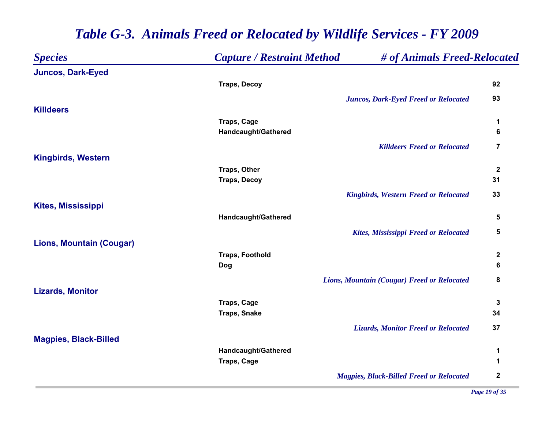| <b>Species</b>                  | <b>Capture / Restraint Method</b> | # of Animals Freed-Relocated                    |                  |
|---------------------------------|-----------------------------------|-------------------------------------------------|------------------|
| <b>Juncos, Dark-Eyed</b>        |                                   |                                                 |                  |
|                                 | <b>Traps, Decoy</b>               |                                                 | 92               |
|                                 |                                   | <b>Juncos, Dark-Eyed Freed or Relocated</b>     | 93               |
| <b>Killdeers</b>                |                                   |                                                 |                  |
|                                 | Traps, Cage                       |                                                 | 1                |
|                                 | Handcaught/Gathered               |                                                 | 6                |
|                                 |                                   | <b>Killdeers Freed or Relocated</b>             | $\overline{7}$   |
| <b>Kingbirds, Western</b>       |                                   |                                                 |                  |
|                                 | <b>Traps, Other</b>               |                                                 | $\boldsymbol{2}$ |
|                                 | <b>Traps, Decoy</b>               |                                                 | 31               |
|                                 |                                   | <b>Kingbirds, Western Freed or Relocated</b>    | 33               |
| <b>Kites, Mississippi</b>       |                                   |                                                 |                  |
|                                 | Handcaught/Gathered               |                                                 | 5                |
|                                 |                                   | <b>Kites, Mississippi Freed or Relocated</b>    | 5                |
| <b>Lions, Mountain (Cougar)</b> |                                   |                                                 |                  |
|                                 | <b>Traps, Foothold</b>            |                                                 | $\boldsymbol{2}$ |
|                                 | <b>Dog</b>                        |                                                 | 6                |
|                                 |                                   | Lions, Mountain (Cougar) Freed or Relocated     | 8                |
| <b>Lizards, Monitor</b>         |                                   |                                                 |                  |
|                                 | <b>Traps, Cage</b>                |                                                 | 3                |
|                                 | <b>Traps, Snake</b>               |                                                 | 34               |
|                                 |                                   | <b>Lizards, Monitor Freed or Relocated</b>      | 37               |
| <b>Magpies, Black-Billed</b>    |                                   |                                                 |                  |
|                                 | Handcaught/Gathered               |                                                 | 1                |
|                                 | <b>Traps, Cage</b>                |                                                 | 1                |
|                                 |                                   | <b>Magpies, Black-Billed Freed or Relocated</b> | $\mathbf 2$      |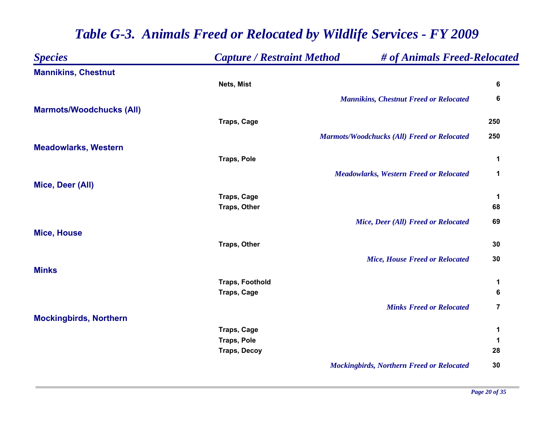| <b>Species</b>                  | <b>Capture / Restraint Method</b> | # of Animals Freed-Relocated                       |                         |
|---------------------------------|-----------------------------------|----------------------------------------------------|-------------------------|
| <b>Mannikins, Chestnut</b>      |                                   |                                                    |                         |
|                                 | Nets, Mist                        |                                                    | 6                       |
|                                 |                                   | <b>Mannikins, Chestnut Freed or Relocated</b>      | 6                       |
| <b>Marmots/Woodchucks (All)</b> |                                   |                                                    |                         |
|                                 | <b>Traps, Cage</b>                |                                                    | 250                     |
|                                 |                                   | <b>Marmots/Woodchucks (All) Freed or Relocated</b> | 250                     |
| <b>Meadowlarks, Western</b>     |                                   |                                                    |                         |
|                                 | <b>Traps, Pole</b>                |                                                    | 1                       |
|                                 |                                   | <b>Meadowlarks, Western Freed or Relocated</b>     | $\mathbf 1$             |
| Mice, Deer (All)                |                                   |                                                    |                         |
|                                 | <b>Traps, Cage</b>                |                                                    | 1                       |
|                                 | Traps, Other                      |                                                    | 68                      |
|                                 |                                   | Mice, Deer (All) Freed or Relocated                | 69                      |
| <b>Mice, House</b>              |                                   |                                                    |                         |
|                                 | Traps, Other                      |                                                    | 30                      |
|                                 |                                   | <b>Mice, House Freed or Relocated</b>              | 30                      |
| <b>Minks</b>                    |                                   |                                                    |                         |
|                                 | <b>Traps, Foothold</b>            |                                                    | 1                       |
|                                 | <b>Traps, Cage</b>                |                                                    | 6                       |
|                                 |                                   | <b>Minks Freed or Relocated</b>                    | $\overline{\mathbf{7}}$ |
| <b>Mockingbirds, Northern</b>   |                                   |                                                    |                         |
|                                 | <b>Traps, Cage</b>                |                                                    | 1                       |
|                                 | <b>Traps, Pole</b>                |                                                    | 1                       |
|                                 | <b>Traps, Decoy</b>               |                                                    | 28                      |
|                                 |                                   | <b>Mockingbirds, Northern Freed or Relocated</b>   | 30                      |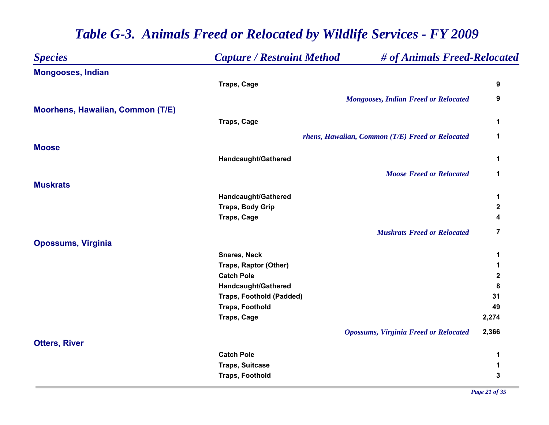| <b>Species</b>                          | <b>Capture / Restraint Method</b> | # of Animals Freed-Relocated                     |             |
|-----------------------------------------|-----------------------------------|--------------------------------------------------|-------------|
| <b>Mongooses, Indian</b>                |                                   |                                                  |             |
|                                         | <b>Traps, Cage</b>                |                                                  | 9           |
|                                         |                                   | <b>Mongooses, Indian Freed or Relocated</b>      | 9           |
| <b>Moorhens, Hawaiian, Common (T/E)</b> |                                   |                                                  |             |
|                                         | <b>Traps, Cage</b>                |                                                  | 1           |
|                                         |                                   | rhens, Hawaiian, Common (T/E) Freed or Relocated | 1           |
| <b>Moose</b>                            |                                   |                                                  |             |
|                                         | Handcaught/Gathered               |                                                  | 1           |
|                                         |                                   | <b>Moose Freed or Relocated</b>                  | 1           |
| <b>Muskrats</b>                         |                                   |                                                  |             |
|                                         | Handcaught/Gathered               |                                                  | 1           |
|                                         | <b>Traps, Body Grip</b>           |                                                  | $\mathbf 2$ |
|                                         | <b>Traps, Cage</b>                |                                                  | 4           |
|                                         |                                   | <b>Muskrats Freed or Relocated</b>               | 7           |
| <b>Opossums, Virginia</b>               |                                   |                                                  |             |
|                                         | <b>Snares, Neck</b>               |                                                  | 1           |
|                                         | Traps, Raptor (Other)             |                                                  | 1           |
|                                         | <b>Catch Pole</b>                 |                                                  | $\mathbf 2$ |
|                                         | Handcaught/Gathered               |                                                  | 8           |
|                                         | <b>Traps, Foothold (Padded)</b>   |                                                  | 31          |
|                                         | <b>Traps, Foothold</b>            |                                                  | 49          |
|                                         | <b>Traps, Cage</b>                |                                                  | 2,274       |
|                                         |                                   | <b>Opossums, Virginia Freed or Relocated</b>     | 2,366       |
| <b>Otters, River</b>                    |                                   |                                                  |             |
|                                         | <b>Catch Pole</b>                 |                                                  | 1           |
|                                         | <b>Traps, Suitcase</b>            |                                                  | 1           |
|                                         | <b>Traps, Foothold</b>            |                                                  | 3           |
|                                         |                                   |                                                  |             |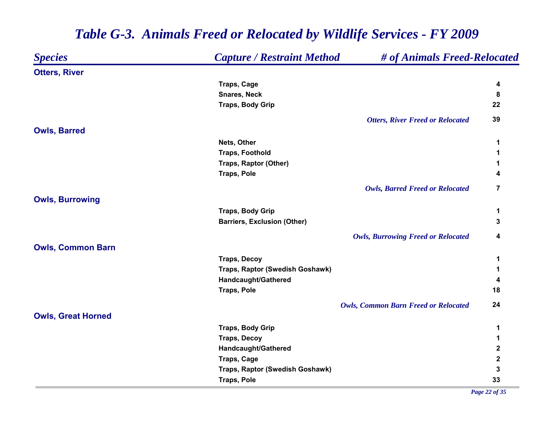| <b>Capture / Restraint Method</b><br><b>Species</b> |                                    | # of Animals Freed-Relocated                |             |  |
|-----------------------------------------------------|------------------------------------|---------------------------------------------|-------------|--|
| <b>Otters, River</b>                                |                                    |                                             |             |  |
|                                                     | <b>Traps, Cage</b>                 |                                             | 4           |  |
|                                                     | <b>Snares, Neck</b>                |                                             | 8           |  |
|                                                     | <b>Traps, Body Grip</b>            |                                             | 22          |  |
|                                                     |                                    | <b>Otters, River Freed or Relocated</b>     | 39          |  |
| <b>Owls, Barred</b>                                 |                                    |                                             |             |  |
|                                                     | Nets, Other                        |                                             | 1           |  |
|                                                     | <b>Traps, Foothold</b>             |                                             | 1           |  |
|                                                     | Traps, Raptor (Other)              |                                             | 1           |  |
|                                                     | <b>Traps, Pole</b>                 |                                             | 4           |  |
|                                                     |                                    | <b>Owls, Barred Freed or Relocated</b>      | 7           |  |
| <b>Owls, Burrowing</b>                              |                                    |                                             |             |  |
|                                                     | <b>Traps, Body Grip</b>            |                                             | 1           |  |
|                                                     | <b>Barriers, Exclusion (Other)</b> |                                             | 3           |  |
|                                                     |                                    | <b>Owls, Burrowing Freed or Relocated</b>   | 4           |  |
| <b>Owls, Common Barn</b>                            |                                    |                                             |             |  |
|                                                     | <b>Traps, Decoy</b>                |                                             | 1           |  |
|                                                     | Traps, Raptor (Swedish Goshawk)    |                                             | 1           |  |
|                                                     | Handcaught/Gathered                |                                             | 4           |  |
|                                                     | <b>Traps, Pole</b>                 |                                             | 18          |  |
|                                                     |                                    | <b>Owls, Common Barn Freed or Relocated</b> | 24          |  |
| <b>Owls, Great Horned</b>                           |                                    |                                             |             |  |
|                                                     | <b>Traps, Body Grip</b>            |                                             | 1           |  |
|                                                     | <b>Traps, Decoy</b>                |                                             | 1           |  |
|                                                     | Handcaught/Gathered                |                                             | $\mathbf 2$ |  |
|                                                     | <b>Traps, Cage</b>                 |                                             | $\mathbf 2$ |  |
|                                                     | Traps, Raptor (Swedish Goshawk)    |                                             | 3           |  |
|                                                     | <b>Traps, Pole</b>                 |                                             | 33          |  |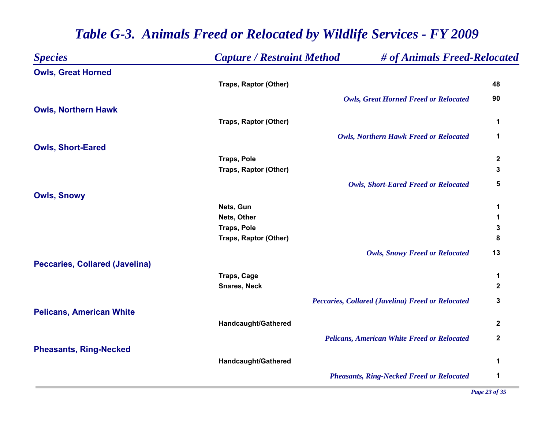| <b>Species</b>                        | <b>Capture / Restraint Method</b> | # of Animals Freed-Relocated                             |                  |
|---------------------------------------|-----------------------------------|----------------------------------------------------------|------------------|
| <b>Owls, Great Horned</b>             |                                   |                                                          |                  |
|                                       | <b>Traps, Raptor (Other)</b>      |                                                          | 48               |
|                                       |                                   | <b>Owls, Great Horned Freed or Relocated</b>             | 90               |
| <b>Owls, Northern Hawk</b>            |                                   |                                                          |                  |
|                                       | Traps, Raptor (Other)             |                                                          | 1                |
|                                       |                                   | <b>Owls, Northern Hawk Freed or Relocated</b>            | 1                |
| <b>Owls, Short-Eared</b>              |                                   |                                                          |                  |
|                                       | <b>Traps, Pole</b>                |                                                          | $\mathbf 2$      |
|                                       | <b>Traps, Raptor (Other)</b>      |                                                          | 3                |
|                                       |                                   | <b>Owls, Short-Eared Freed or Relocated</b>              | 5                |
| <b>Owls, Snowy</b>                    |                                   |                                                          |                  |
|                                       | Nets, Gun                         |                                                          | 1                |
|                                       | Nets, Other                       |                                                          | 1                |
|                                       | <b>Traps, Pole</b>                |                                                          | ${\bf 3}$        |
|                                       | Traps, Raptor (Other)             |                                                          | 8                |
|                                       |                                   | <b>Owls, Snowy Freed or Relocated</b>                    | 13               |
| <b>Peccaries, Collared (Javelina)</b> |                                   |                                                          |                  |
|                                       | Traps, Cage                       |                                                          | 1                |
|                                       | <b>Snares, Neck</b>               |                                                          | $\boldsymbol{2}$ |
|                                       |                                   | <b>Peccaries, Collared (Javelina) Freed or Relocated</b> | 3                |
| <b>Pelicans, American White</b>       |                                   |                                                          |                  |
|                                       | Handcaught/Gathered               |                                                          | $\mathbf 2$      |
|                                       |                                   | <b>Pelicans, American White Freed or Relocated</b>       | $\mathbf 2$      |
| <b>Pheasants, Ring-Necked</b>         |                                   |                                                          |                  |
|                                       | Handcaught/Gathered               |                                                          | 1                |
|                                       |                                   | <b>Pheasants, Ring-Necked Freed or Relocated</b>         | 1                |
|                                       |                                   |                                                          |                  |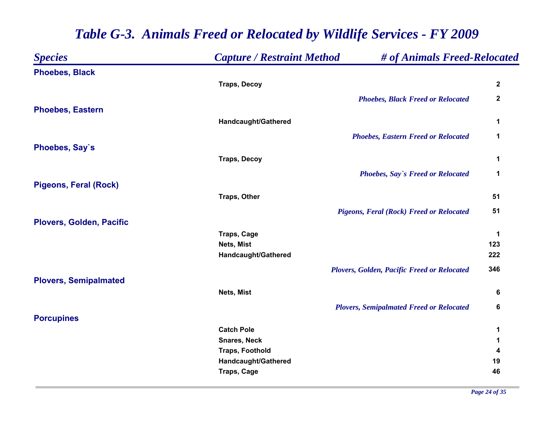| <b>Species</b>                  | <b>Capture / Restraint Method</b> | # of Animals Freed-Relocated                    |                  |
|---------------------------------|-----------------------------------|-------------------------------------------------|------------------|
| <b>Phoebes, Black</b>           |                                   |                                                 |                  |
|                                 | <b>Traps, Decoy</b>               |                                                 | $\boldsymbol{2}$ |
|                                 |                                   | <b>Phoebes, Black Freed or Relocated</b>        | $\boldsymbol{2}$ |
| <b>Phoebes, Eastern</b>         |                                   |                                                 |                  |
|                                 | Handcaught/Gathered               |                                                 | 1                |
|                                 |                                   | <b>Phoebes, Eastern Freed or Relocated</b>      | 1                |
| Phoebes, Say's                  |                                   |                                                 |                  |
|                                 | <b>Traps, Decoy</b>               |                                                 | 1                |
|                                 |                                   | Phoebes, Say's Freed or Relocated               | 1                |
| <b>Pigeons, Feral (Rock)</b>    |                                   |                                                 |                  |
|                                 | <b>Traps, Other</b>               |                                                 | 51               |
|                                 |                                   | <b>Pigeons, Feral (Rock) Freed or Relocated</b> | 51               |
| <b>Plovers, Golden, Pacific</b> |                                   |                                                 |                  |
|                                 | <b>Traps, Cage</b><br>Nets, Mist  |                                                 | 1<br>123         |
|                                 | Handcaught/Gathered               |                                                 | 222              |
|                                 |                                   | Plovers, Golden, Pacific Freed or Relocated     | 346              |
| <b>Plovers, Semipalmated</b>    |                                   |                                                 |                  |
|                                 | Nets, Mist                        |                                                 | 6                |
|                                 |                                   | <b>Plovers, Semipalmated Freed or Relocated</b> | 6                |
| <b>Porcupines</b>               |                                   |                                                 |                  |
|                                 | <b>Catch Pole</b>                 |                                                 | 1                |
|                                 | <b>Snares, Neck</b>               |                                                 | 1                |
|                                 | <b>Traps, Foothold</b>            |                                                 | 4                |
|                                 | Handcaught/Gathered               |                                                 | 19               |
|                                 | <b>Traps, Cage</b>                |                                                 | 46               |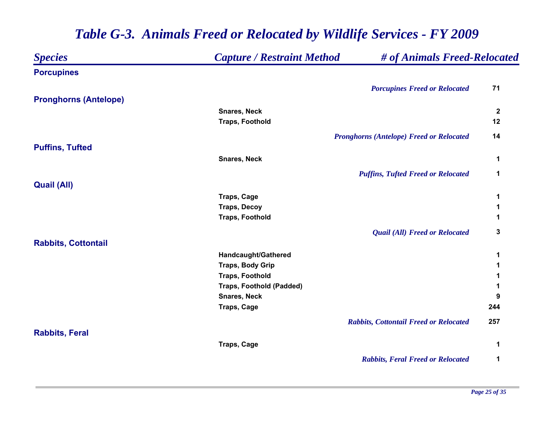| <b>Species</b>               | <b>Capture / Restraint Method</b> | # of Animals Freed-Relocated                    |              |
|------------------------------|-----------------------------------|-------------------------------------------------|--------------|
| <b>Porcupines</b>            |                                   |                                                 |              |
|                              |                                   | <b>Porcupines Freed or Relocated</b>            | 71           |
| <b>Pronghorns (Antelope)</b> |                                   |                                                 |              |
|                              | <b>Snares, Neck</b>               |                                                 | $\mathbf{2}$ |
|                              | <b>Traps, Foothold</b>            |                                                 | 12           |
|                              |                                   | <b>Pronghorns (Antelope) Freed or Relocated</b> | 14           |
| <b>Puffins, Tufted</b>       |                                   |                                                 |              |
|                              | <b>Snares, Neck</b>               |                                                 | 1            |
|                              |                                   | <b>Puffins, Tufted Freed or Relocated</b>       | $\mathbf 1$  |
| <b>Quail (All)</b>           |                                   |                                                 |              |
|                              | <b>Traps, Cage</b>                |                                                 | 1            |
|                              | <b>Traps, Decoy</b>               |                                                 | 1            |
|                              | <b>Traps, Foothold</b>            |                                                 | 1            |
|                              |                                   | <b>Quail (All) Freed or Relocated</b>           | 3            |
| <b>Rabbits, Cottontail</b>   |                                   |                                                 |              |
|                              | Handcaught/Gathered               |                                                 | 1            |
|                              | <b>Traps, Body Grip</b>           |                                                 | 1            |
|                              | <b>Traps, Foothold</b>            |                                                 | 1            |
|                              | <b>Traps, Foothold (Padded)</b>   |                                                 | 1            |
|                              | <b>Snares, Neck</b>               |                                                 | 9            |
|                              | <b>Traps, Cage</b>                |                                                 | 244          |
|                              |                                   | <b>Rabbits, Cottontail Freed or Relocated</b>   | 257          |
| <b>Rabbits, Feral</b>        |                                   |                                                 |              |
|                              | <b>Traps, Cage</b>                |                                                 | 1            |
|                              |                                   | <b>Rabbits, Feral Freed or Relocated</b>        | 1            |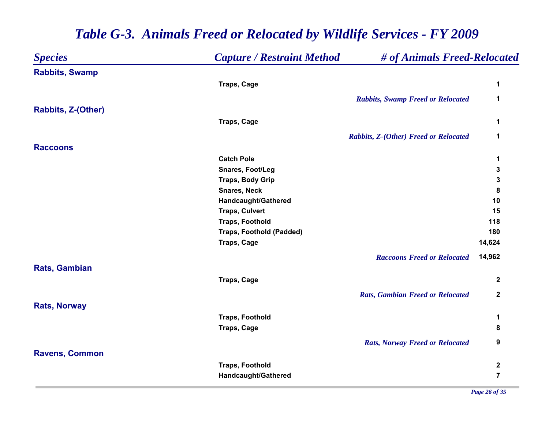| <b>Species</b>            | <b>Capture / Restraint Method</b> | # of Animals Freed-Relocated             |                |
|---------------------------|-----------------------------------|------------------------------------------|----------------|
| <b>Rabbits, Swamp</b>     |                                   |                                          |                |
|                           | <b>Traps, Cage</b>                |                                          | 1              |
|                           |                                   | <b>Rabbits, Swamp Freed or Relocated</b> | $\mathbf 1$    |
| <b>Rabbits, Z-(Other)</b> |                                   |                                          |                |
|                           | <b>Traps, Cage</b>                |                                          | 1              |
|                           |                                   |                                          |                |
|                           |                                   | Rabbits, Z-(Other) Freed or Relocated    | 1              |
| <b>Raccoons</b>           |                                   |                                          |                |
|                           | <b>Catch Pole</b>                 |                                          | 1              |
|                           | Snares, Foot/Leg                  |                                          | 3              |
|                           | <b>Traps, Body Grip</b>           |                                          | 3              |
|                           | <b>Snares, Neck</b>               |                                          | 8              |
|                           | Handcaught/Gathered               |                                          | 10             |
|                           | <b>Traps, Culvert</b>             |                                          | 15             |
|                           | <b>Traps, Foothold</b>            |                                          | 118            |
|                           | <b>Traps, Foothold (Padded)</b>   |                                          | 180            |
|                           | Traps, Cage                       |                                          | 14,624         |
|                           |                                   | <b>Raccoons Freed or Relocated</b>       | 14,962         |
| Rats, Gambian             |                                   |                                          |                |
|                           | <b>Traps, Cage</b>                |                                          | $\mathbf{2}$   |
|                           |                                   | <b>Rats, Gambian Freed or Relocated</b>  | $\mathbf{2}$   |
| <b>Rats, Norway</b>       |                                   |                                          |                |
|                           | <b>Traps, Foothold</b>            |                                          | 1              |
|                           | <b>Traps, Cage</b>                |                                          | 8              |
|                           |                                   |                                          |                |
|                           |                                   | <b>Rats, Norway Freed or Relocated</b>   | 9              |
| <b>Ravens, Common</b>     |                                   |                                          |                |
|                           | <b>Traps, Foothold</b>            |                                          | $\mathbf 2$    |
|                           | Handcaught/Gathered               |                                          | $\overline{7}$ |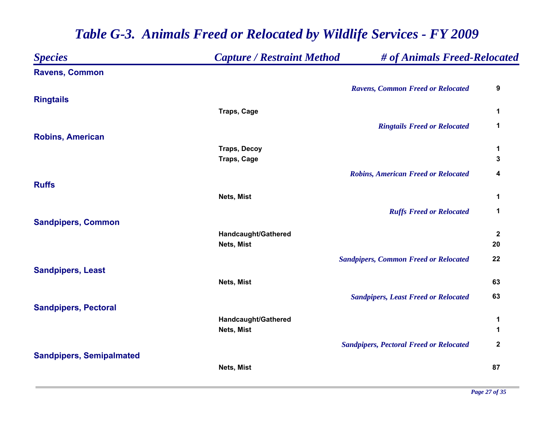| <b>Species</b>                  | <b>Capture / Restraint Method</b> | # of Animals Freed-Relocated                   |                  |
|---------------------------------|-----------------------------------|------------------------------------------------|------------------|
| <b>Ravens, Common</b>           |                                   |                                                |                  |
|                                 |                                   | <b>Ravens, Common Freed or Relocated</b>       | 9                |
| <b>Ringtails</b>                |                                   |                                                |                  |
|                                 | <b>Traps, Cage</b>                |                                                | 1                |
|                                 |                                   | <b>Ringtails Freed or Relocated</b>            | 1                |
| <b>Robins, American</b>         |                                   |                                                |                  |
|                                 | <b>Traps, Decoy</b>               |                                                | 1                |
|                                 | <b>Traps, Cage</b>                |                                                | 3                |
|                                 |                                   | <b>Robins, American Freed or Relocated</b>     | 4                |
| <b>Ruffs</b>                    |                                   |                                                |                  |
|                                 | Nets, Mist                        |                                                | 1                |
|                                 |                                   | <b>Ruffs Freed or Relocated</b>                | 1                |
| <b>Sandpipers, Common</b>       |                                   |                                                |                  |
|                                 | Handcaught/Gathered               |                                                | $\boldsymbol{2}$ |
|                                 | Nets, Mist                        |                                                | 20               |
|                                 |                                   | <b>Sandpipers, Common Freed or Relocated</b>   | 22               |
| <b>Sandpipers, Least</b>        |                                   |                                                |                  |
|                                 | Nets, Mist                        |                                                | 63               |
|                                 |                                   | <b>Sandpipers, Least Freed or Relocated</b>    | 63               |
| <b>Sandpipers, Pectoral</b>     |                                   |                                                |                  |
|                                 | Handcaught/Gathered               |                                                | 1                |
|                                 | Nets, Mist                        |                                                | 1                |
|                                 |                                   | <b>Sandpipers, Pectoral Freed or Relocated</b> | $\boldsymbol{2}$ |
| <b>Sandpipers, Semipalmated</b> |                                   |                                                |                  |
|                                 | Nets, Mist                        |                                                | 87               |
|                                 |                                   |                                                |                  |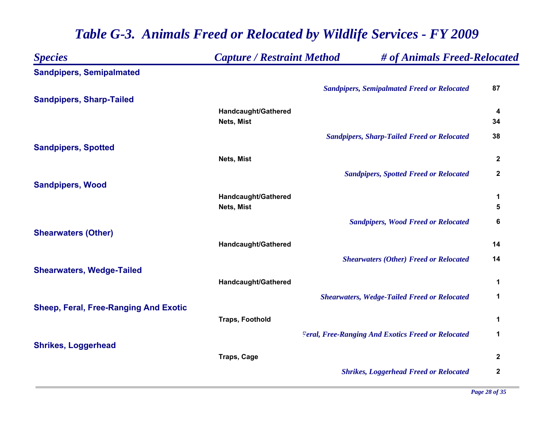| <b>Species</b>                               | <b>Capture / Restraint Method</b> | # of Animals Freed-Relocated                              |                  |
|----------------------------------------------|-----------------------------------|-----------------------------------------------------------|------------------|
| <b>Sandpipers, Semipalmated</b>              |                                   |                                                           |                  |
|                                              |                                   | <b>Sandpipers, Semipalmated Freed or Relocated</b>        | 87               |
| <b>Sandpipers, Sharp-Tailed</b>              |                                   |                                                           |                  |
|                                              | Handcaught/Gathered               |                                                           | 4                |
|                                              | Nets, Mist                        |                                                           | 34               |
|                                              |                                   | <b>Sandpipers, Sharp-Tailed Freed or Relocated</b>        | 38               |
| <b>Sandpipers, Spotted</b>                   |                                   |                                                           |                  |
|                                              | Nets, Mist                        |                                                           | $\mathbf 2$      |
|                                              |                                   | <b>Sandpipers, Spotted Freed or Relocated</b>             | $\boldsymbol{2}$ |
| <b>Sandpipers, Wood</b>                      |                                   |                                                           |                  |
|                                              | Handcaught/Gathered               |                                                           | 1                |
|                                              | Nets, Mist                        |                                                           | 5                |
|                                              |                                   | <b>Sandpipers, Wood Freed or Relocated</b>                | 6                |
| <b>Shearwaters (Other)</b>                   |                                   |                                                           |                  |
|                                              | Handcaught/Gathered               |                                                           | 14               |
|                                              |                                   | <b>Shearwaters (Other) Freed or Relocated</b>             | 14               |
| <b>Shearwaters, Wedge-Tailed</b>             |                                   |                                                           |                  |
|                                              | Handcaught/Gathered               |                                                           | 1                |
|                                              |                                   |                                                           |                  |
|                                              |                                   | <b>Shearwaters, Wedge-Tailed Freed or Relocated</b>       | 1                |
| <b>Sheep, Feral, Free-Ranging And Exotic</b> | <b>Traps, Foothold</b>            |                                                           | 1                |
|                                              |                                   |                                                           |                  |
|                                              |                                   | <b>Feral, Free-Ranging And Exotics Freed or Relocated</b> | 1                |
| <b>Shrikes, Loggerhead</b>                   |                                   |                                                           |                  |
|                                              | <b>Traps, Cage</b>                |                                                           | $\mathbf{2}$     |
|                                              |                                   | <b>Shrikes, Loggerhead Freed or Relocated</b>             | $\boldsymbol{2}$ |
|                                              |                                   |                                                           |                  |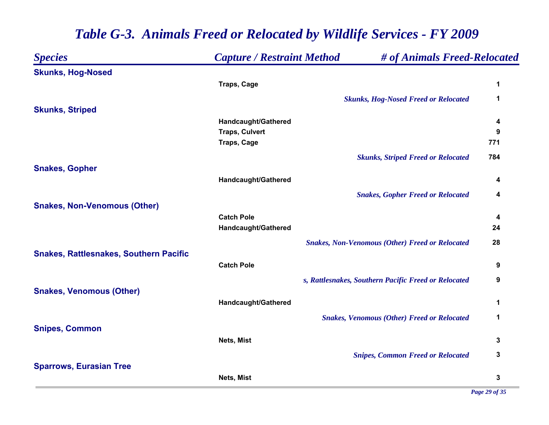| <b>Species</b>                                | <b>Capture / Restraint Method</b> | # of Animals Freed-Relocated                           |     |
|-----------------------------------------------|-----------------------------------|--------------------------------------------------------|-----|
| <b>Skunks, Hog-Nosed</b>                      |                                   |                                                        |     |
|                                               | <b>Traps, Cage</b>                |                                                        | 1   |
|                                               |                                   | <b>Skunks, Hog-Nosed Freed or Relocated</b>            | 1   |
| <b>Skunks, Striped</b>                        |                                   |                                                        |     |
|                                               | Handcaught/Gathered               |                                                        | 4   |
|                                               | <b>Traps, Culvert</b>             |                                                        | 9   |
|                                               | <b>Traps, Cage</b>                |                                                        | 771 |
|                                               |                                   | <b>Skunks, Striped Freed or Relocated</b>              | 784 |
| <b>Snakes, Gopher</b>                         |                                   |                                                        |     |
|                                               | Handcaught/Gathered               |                                                        | 4   |
|                                               |                                   | <b>Snakes, Gopher Freed or Relocated</b>               | 4   |
| <b>Snakes, Non-Venomous (Other)</b>           |                                   |                                                        |     |
|                                               | <b>Catch Pole</b>                 |                                                        | 4   |
|                                               | Handcaught/Gathered               |                                                        | 24  |
|                                               |                                   | <b>Snakes, Non-Venomous (Other) Freed or Relocated</b> | 28  |
| <b>Snakes, Rattlesnakes, Southern Pacific</b> |                                   |                                                        |     |
|                                               | <b>Catch Pole</b>                 |                                                        | 9   |
|                                               |                                   | s, Rattlesnakes, Southern Pacific Freed or Relocated   | 9   |
| <b>Snakes, Venomous (Other)</b>               |                                   |                                                        |     |
|                                               | Handcaught/Gathered               |                                                        | 1   |
|                                               |                                   | <b>Snakes, Venomous (Other) Freed or Relocated</b>     | 1   |
| <b>Snipes, Common</b>                         |                                   |                                                        |     |
|                                               | Nets, Mist                        |                                                        | 3   |
|                                               |                                   | <b>Snipes, Common Freed or Relocated</b>               | 3   |
| <b>Sparrows, Eurasian Tree</b>                |                                   |                                                        |     |
|                                               | Nets, Mist                        |                                                        | 3   |
|                                               |                                   |                                                        |     |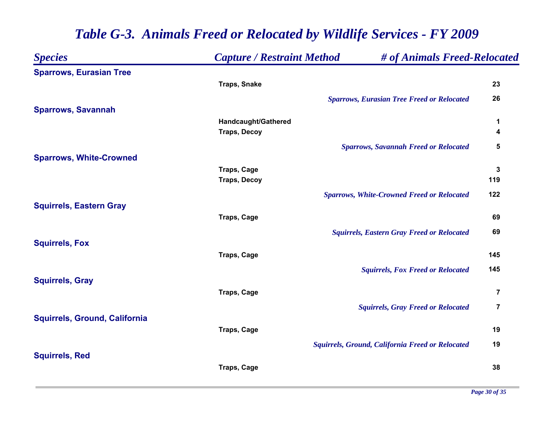| <b>Species</b>                       | <b>Capture / Restraint Method</b> | # of Animals Freed-Relocated                      |                         |
|--------------------------------------|-----------------------------------|---------------------------------------------------|-------------------------|
| <b>Sparrows, Eurasian Tree</b>       |                                   |                                                   |                         |
|                                      | <b>Traps, Snake</b>               |                                                   | 23                      |
|                                      |                                   | <b>Sparrows, Eurasian Tree Freed or Relocated</b> | 26                      |
| <b>Sparrows, Savannah</b>            |                                   |                                                   |                         |
|                                      | Handcaught/Gathered               |                                                   | 1                       |
|                                      | <b>Traps, Decoy</b>               |                                                   | 4                       |
|                                      |                                   | <b>Sparrows, Savannah Freed or Relocated</b>      | 5                       |
| <b>Sparrows, White-Crowned</b>       |                                   |                                                   |                         |
|                                      | <b>Traps, Cage</b>                |                                                   | $\mathbf 3$             |
|                                      | <b>Traps, Decoy</b>               |                                                   | 119                     |
|                                      |                                   | <b>Sparrows, White-Crowned Freed or Relocated</b> | 122                     |
| <b>Squirrels, Eastern Gray</b>       |                                   |                                                   |                         |
|                                      | <b>Traps, Cage</b>                |                                                   | 69                      |
|                                      |                                   | <b>Squirrels, Eastern Gray Freed or Relocated</b> | 69                      |
| <b>Squirrels, Fox</b>                |                                   |                                                   |                         |
|                                      | <b>Traps, Cage</b>                |                                                   | 145                     |
|                                      |                                   | <b>Squirrels, Fox Freed or Relocated</b>          | 145                     |
| <b>Squirrels, Gray</b>               |                                   |                                                   |                         |
|                                      | <b>Traps, Cage</b>                |                                                   | $\overline{\mathbf{7}}$ |
|                                      |                                   | <b>Squirrels, Gray Freed or Relocated</b>         | $\overline{7}$          |
| <b>Squirrels, Ground, California</b> |                                   |                                                   |                         |
|                                      | <b>Traps, Cage</b>                |                                                   | 19                      |
|                                      |                                   | Squirrels, Ground, California Freed or Relocated  | 19                      |
| <b>Squirrels, Red</b>                |                                   |                                                   |                         |
|                                      | Traps, Cage                       |                                                   | 38                      |
|                                      |                                   |                                                   |                         |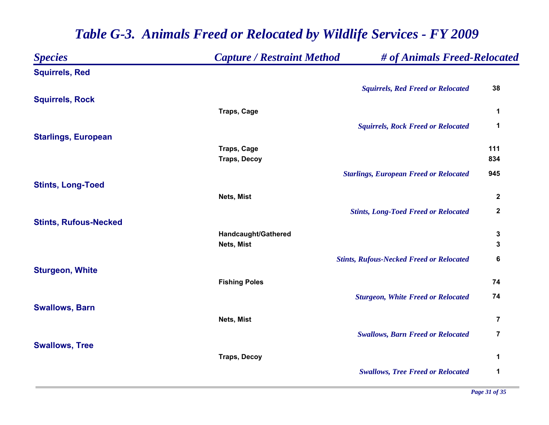| <b>Species</b>               | <b>Capture / Restraint Method</b> | # of Animals Freed-Relocated                    |                         |
|------------------------------|-----------------------------------|-------------------------------------------------|-------------------------|
| <b>Squirrels, Red</b>        |                                   |                                                 |                         |
|                              |                                   | <b>Squirrels, Red Freed or Relocated</b>        | 38                      |
| <b>Squirrels, Rock</b>       |                                   |                                                 |                         |
|                              | <b>Traps, Cage</b>                |                                                 | $\mathbf 1$             |
|                              |                                   | <b>Squirrels, Rock Freed or Relocated</b>       | 1                       |
| <b>Starlings, European</b>   |                                   |                                                 |                         |
|                              | Traps, Cage                       |                                                 | 111                     |
|                              | <b>Traps, Decoy</b>               |                                                 | 834                     |
|                              |                                   | <b>Starlings, European Freed or Relocated</b>   | 945                     |
| <b>Stints, Long-Toed</b>     |                                   |                                                 |                         |
|                              | Nets, Mist                        |                                                 | $\boldsymbol{2}$        |
|                              |                                   | <b>Stints, Long-Toed Freed or Relocated</b>     | $\mathbf 2$             |
| <b>Stints, Rufous-Necked</b> |                                   |                                                 |                         |
|                              | Handcaught/Gathered               |                                                 | 3                       |
|                              | Nets, Mist                        |                                                 | 3                       |
|                              |                                   | <b>Stints, Rufous-Necked Freed or Relocated</b> | 6                       |
| <b>Sturgeon, White</b>       |                                   |                                                 |                         |
|                              | <b>Fishing Poles</b>              |                                                 | 74                      |
|                              |                                   | <b>Sturgeon, White Freed or Relocated</b>       | 74                      |
| <b>Swallows, Barn</b>        |                                   |                                                 |                         |
|                              | Nets, Mist                        |                                                 | $\overline{\mathbf{7}}$ |
|                              |                                   | <b>Swallows, Barn Freed or Relocated</b>        | $\overline{7}$          |
| <b>Swallows, Tree</b>        |                                   |                                                 |                         |
|                              | <b>Traps, Decoy</b>               |                                                 | 1                       |
|                              |                                   | <b>Swallows, Tree Freed or Relocated</b>        | 1                       |
|                              |                                   |                                                 |                         |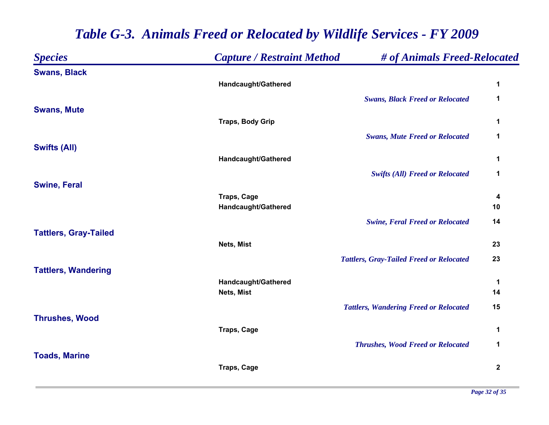| <b>Species</b>               | <b>Capture / Restraint Method</b> | # of Animals Freed-Relocated                    |             |
|------------------------------|-----------------------------------|-------------------------------------------------|-------------|
| <b>Swans, Black</b>          |                                   |                                                 |             |
|                              | Handcaught/Gathered               |                                                 | 1           |
|                              |                                   | <b>Swans, Black Freed or Relocated</b>          | 1           |
| <b>Swans, Mute</b>           |                                   |                                                 |             |
|                              | <b>Traps, Body Grip</b>           |                                                 | 1           |
|                              |                                   | <b>Swans, Mute Freed or Relocated</b>           | 1           |
| <b>Swifts (All)</b>          | Handcaught/Gathered               |                                                 | 1           |
|                              |                                   |                                                 | 1           |
| <b>Swine, Feral</b>          |                                   | <b>Swifts (All) Freed or Relocated</b>          |             |
|                              | <b>Traps, Cage</b>                |                                                 | 4           |
|                              | Handcaught/Gathered               |                                                 | 10          |
|                              |                                   | <b>Swine, Feral Freed or Relocated</b>          | 14          |
| <b>Tattlers, Gray-Tailed</b> |                                   |                                                 |             |
|                              | Nets, Mist                        |                                                 | 23          |
|                              |                                   | <b>Tattlers, Gray-Tailed Freed or Relocated</b> | 23          |
| <b>Tattlers, Wandering</b>   | Handcaught/Gathered               |                                                 | $\mathbf 1$ |
|                              | Nets, Mist                        |                                                 | 14          |
|                              |                                   | <b>Tattlers, Wandering Freed or Relocated</b>   | 15          |
| <b>Thrushes, Wood</b>        |                                   |                                                 |             |
|                              | <b>Traps, Cage</b>                |                                                 | 1           |
|                              |                                   | <b>Thrushes, Wood Freed or Relocated</b>        | 1           |
| <b>Toads, Marine</b>         |                                   |                                                 |             |
|                              | <b>Traps, Cage</b>                |                                                 | $\mathbf 2$ |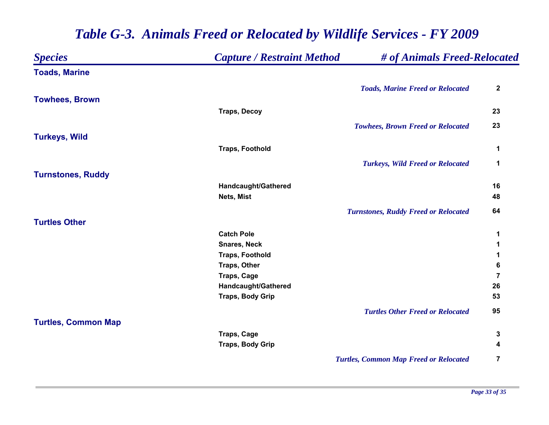| <b>Species</b>             | <b>Capture / Restraint Method</b> | # of Animals Freed-Relocated                  |                |
|----------------------------|-----------------------------------|-----------------------------------------------|----------------|
| <b>Toads, Marine</b>       |                                   |                                               |                |
|                            |                                   | <b>Toads, Marine Freed or Relocated</b>       | $\mathbf 2$    |
| <b>Towhees, Brown</b>      |                                   |                                               |                |
|                            | <b>Traps, Decoy</b>               |                                               | 23             |
|                            |                                   | <b>Towhees, Brown Freed or Relocated</b>      | 23             |
| <b>Turkeys, Wild</b>       |                                   |                                               |                |
|                            | <b>Traps, Foothold</b>            |                                               | 1              |
|                            |                                   | <b>Turkeys, Wild Freed or Relocated</b>       | 1              |
| <b>Turnstones, Ruddy</b>   |                                   |                                               |                |
|                            | Handcaught/Gathered               |                                               | 16             |
|                            | Nets, Mist                        |                                               | 48             |
|                            |                                   | <b>Turnstones, Ruddy Freed or Relocated</b>   | 64             |
| <b>Turtles Other</b>       |                                   |                                               |                |
|                            | <b>Catch Pole</b>                 |                                               | 1              |
|                            | <b>Snares, Neck</b>               |                                               | 1              |
|                            | <b>Traps, Foothold</b>            |                                               | 1              |
|                            | <b>Traps, Other</b>               |                                               | 6              |
|                            | <b>Traps, Cage</b>                |                                               | $\overline{7}$ |
|                            | Handcaught/Gathered               |                                               | 26             |
|                            | <b>Traps, Body Grip</b>           |                                               | 53             |
|                            |                                   | <b>Turtles Other Freed or Relocated</b>       | 95             |
| <b>Turtles, Common Map</b> |                                   |                                               |                |
|                            | <b>Traps, Cage</b>                |                                               | 3              |
|                            | <b>Traps, Body Grip</b>           |                                               | 4              |
|                            |                                   | <b>Turtles, Common Map Freed or Relocated</b> | $\overline{7}$ |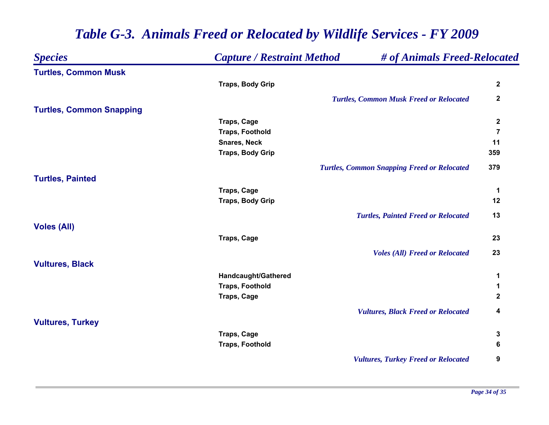| <b>Species</b>                  | <b>Capture / Restraint Method</b> | # of Animals Freed-Relocated                       |                |
|---------------------------------|-----------------------------------|----------------------------------------------------|----------------|
| <b>Turtles, Common Musk</b>     |                                   |                                                    |                |
|                                 | <b>Traps, Body Grip</b>           |                                                    | $\mathbf 2$    |
|                                 |                                   | <b>Turtles, Common Musk Freed or Relocated</b>     | $\mathbf 2$    |
| <b>Turtles, Common Snapping</b> |                                   |                                                    |                |
|                                 | <b>Traps, Cage</b>                |                                                    | $\mathbf{2}$   |
|                                 | <b>Traps, Foothold</b>            |                                                    | $\overline{7}$ |
|                                 | <b>Snares, Neck</b>               |                                                    | 11             |
|                                 | <b>Traps, Body Grip</b>           |                                                    | 359            |
|                                 |                                   | <b>Turtles, Common Snapping Freed or Relocated</b> | 379            |
| <b>Turtles, Painted</b>         |                                   |                                                    |                |
|                                 | <b>Traps, Cage</b>                |                                                    | 1              |
|                                 | <b>Traps, Body Grip</b>           |                                                    | 12             |
|                                 |                                   | <b>Turtles, Painted Freed or Relocated</b>         | 13             |
| <b>Voles (All)</b>              |                                   |                                                    |                |
|                                 | <b>Traps, Cage</b>                |                                                    | 23             |
|                                 |                                   | <b>Voles (All) Freed or Relocated</b>              | 23             |
| <b>Vultures, Black</b>          |                                   |                                                    |                |
|                                 | Handcaught/Gathered               |                                                    | 1              |
|                                 | <b>Traps, Foothold</b>            |                                                    | 1              |
|                                 | <b>Traps, Cage</b>                |                                                    | 2              |
|                                 |                                   | <b>Vultures, Black Freed or Relocated</b>          | 4              |
| <b>Vultures, Turkey</b>         |                                   |                                                    |                |
|                                 | <b>Traps, Cage</b>                |                                                    | 3              |
|                                 | <b>Traps, Foothold</b>            |                                                    | 6              |
|                                 |                                   | <b>Vultures, Turkey Freed or Relocated</b>         | 9              |